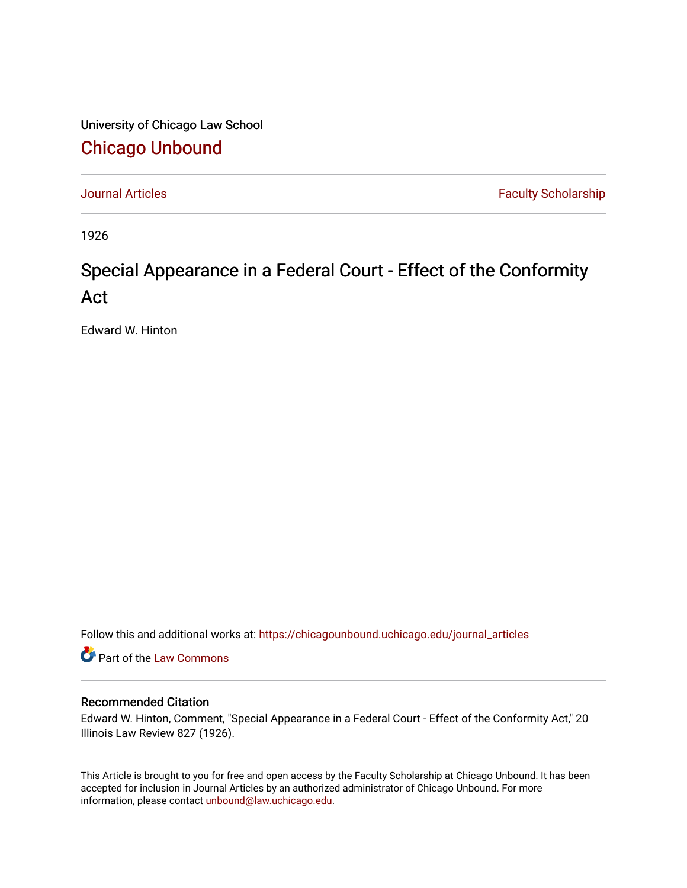University of Chicago Law School [Chicago Unbound](https://chicagounbound.uchicago.edu/)

[Journal Articles](https://chicagounbound.uchicago.edu/journal_articles) **Faculty Scholarship Faculty Scholarship** 

1926

## Special Appearance in a Federal Court - Effect of the Conformity Act

Edward W. Hinton

Follow this and additional works at: [https://chicagounbound.uchicago.edu/journal\\_articles](https://chicagounbound.uchicago.edu/journal_articles?utm_source=chicagounbound.uchicago.edu%2Fjournal_articles%2F9391&utm_medium=PDF&utm_campaign=PDFCoverPages) 

Part of the [Law Commons](http://network.bepress.com/hgg/discipline/578?utm_source=chicagounbound.uchicago.edu%2Fjournal_articles%2F9391&utm_medium=PDF&utm_campaign=PDFCoverPages)

## Recommended Citation

Edward W. Hinton, Comment, "Special Appearance in a Federal Court - Effect of the Conformity Act," 20 Illinois Law Review 827 (1926).

This Article is brought to you for free and open access by the Faculty Scholarship at Chicago Unbound. It has been accepted for inclusion in Journal Articles by an authorized administrator of Chicago Unbound. For more information, please contact [unbound@law.uchicago.edu](mailto:unbound@law.uchicago.edu).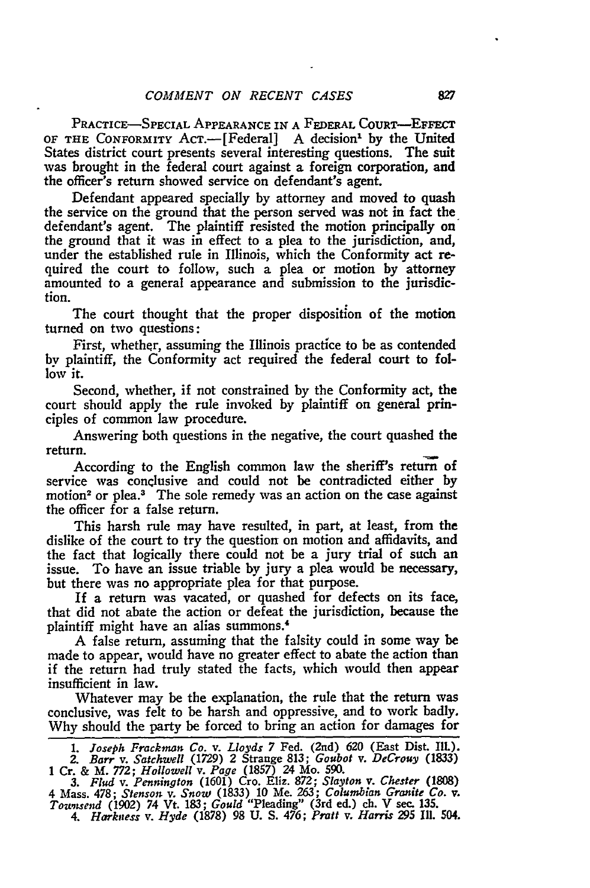**PRACTICE-SPECIAL APPEARANCE IN A FEDERAL COURT-EFFECT OF THE CONFORMITY ACT.—[Federal] A decision<sup>1</sup> by the United** States district court presents several interesting questions. The suit was brought in the federal court against a foreign corporation, and the officer's return showed service on defendant's agent.

Defendant appeared specially by attorney and moved to quash the service on the ground that the person served was not in fact the defendant's agent. The plaintiff resisted the motion principally on the ground that it was in effect to a plea to the jurisdiction, and, under the established rule in Illinois, which the Conformity act required the court to follow, such a plea or motion **by** attorney amounted to a general appearance and submission to the jurisdiction.

The court thought that the proper disposition of the motion turned on two questions:

First, whether, assuming the Illinois practice to be as contended **bkv** plaintiff, the Conformity act required the federal court to fol**low** it.

Second, whether, if not constrained **by** the Conformity act, the court should apply the rule invoked **by** plaintiff on general principles of common law procedure.

Answering both questions in the negative, the court quashed the return.

According to the English common law the sheriff's return of service was conclusive and could not be contradicted either **by** motion<sup>2</sup> or plea.<sup>3</sup> The sole remedy was an action on the case against the officer for a false return.

This harsh rule may have resulted, in part, at least, from the dislike **of** the court to try the question on motion and affidavits, and the fact that logically there could not be a jury trial of such an issue. To have an issue triable **by** jury a plea would be necessary, but there was no appropriate plea for that purpose.

If a return was vacated, or quashed for defects on its face, that did not abate the action or defeat the jurisdiction, because the plaintiff might have an alias summons.'

**A** false return, assuming that the falsity could in some way be made to appear, would have no greater effect to abate the action than if the return had truly stated the facts, which would then appear insufficient in law.

Whatever may be the explanation, the rule that the return was conclusive, was felt to be harsh and oppressive, and to work badly. **Why** should the party be forced to bring an action for damages for

**1** Cr. **&** M. **772;** *Hollowell v. Page* **(1857)** 24 Mo. **590.** *3. Flud v. Pennington* **(1601)** Cro. Eliz. **872;** *Slayton v. Chester* **(1808)** 4 Mass. **478;** *Stenson v. Snow* **(1833) 10** Me. **263;** *Columbian Granite Co. v. Tousend* **(1902)** 74 Vt. **183;** *Gould* "Pleading" (3rd ed.) ch. V sec. **135.**

*4. Harkness v. Hyde* **(1878) 98 U. S.** *476; Pratt v. Harris 295* **I1.** 504.

*<sup>1.</sup> Joseph Frackman Co. v. Lloyds* **7** Fed. (2nd) **620** (East Dist. ILl). *2. Barr v. Satchwell* **(1729) 2** Strange **813;** *Goubot v. DeCrouy* **(1833)**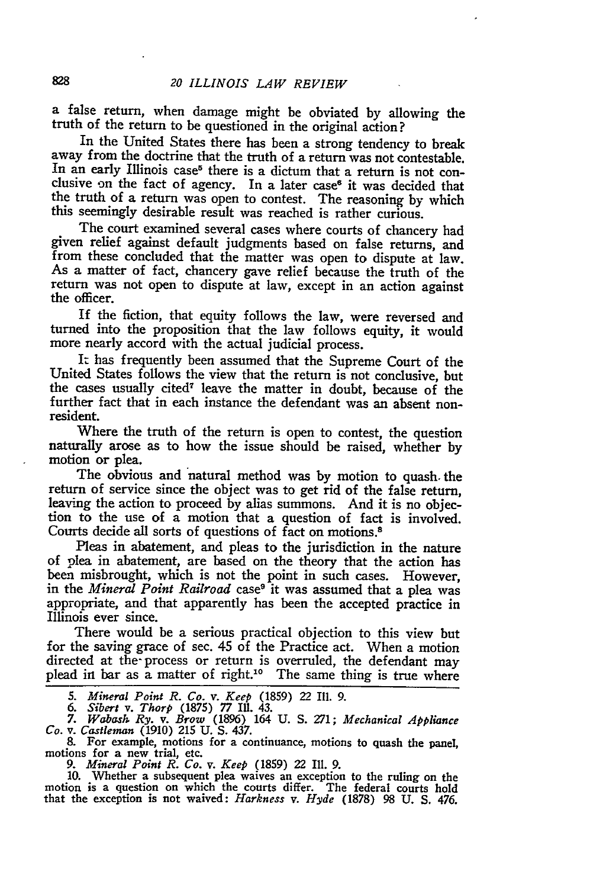a false return, when damage might be obviated by allowing the truth of the return to be questioned in the original action?

In the United States there has been a strong tendency to break away from the doctrine that the truth of a return was not contestable. In an early Illinois case<sup>5</sup> there is a dictum that a return is not conclusive on the fact of agency. In a later case<sup>6</sup> it was decided that the truth of a return was open to contest. The reasoning by which this seemingly desirable result was reached is rather curious.

The court examined several cases where courts of chancery had given relief against default judgments based on false returns, and from these concluded that the matter was open to dispute at law. As a matter of fact, chancery gave relief because the truth of the return was not open to dispute at law, except in an action against the officer.

If the fiction, that equity follows the law, were reversed and turned into the proposition that the law follows equity, it would more nearly accord with the actual judicial process.

It has frequently been assumed that the Supreme Court of the United States follows the view that the return is not conclusive, but the cases usually cited<sup>7</sup> leave the matter in doubt, because of the further fact that in each instance the defendant was an absent nonresident.

Where the truth of the return is open to contest, the question naturally arose as to how the issue should be raised, whether by motion or plea.

The obvious and natural method was by motion to quash. the return of service since the object was to get rid of the false return, leaving the action to proceed by alias summons. And it is no objection to the use of a motion that a question of fact is involved. Courts decide all sorts of questions of fact on motions.8

Pleas in abatement, and pleas to the jurisdiction in the nature of plea in abatement, are based on the theory that the action has been misbrought, which is not the point in such cases. However, in the *Mineral Point Railroad* case9 it was assumed that a plea was appropriate, and that apparently has been the accepted practice in Illinois ever since.

There would be a serious practical objection to this view but for the saving grace of sec. 45 of the Practice act. When a motion directed at the process or return is overruled, the defendant may plead in bar as a matter of right.<sup>10</sup> The same thing is true where

*5. Mineral Point R. Co. v. Keep* (1859) *22* Ill. 9.

*6. Sibert v. Thorp* (1875) **77** Ill. 43.

*7. Wabash Ry. v. Brow* (1896) 164 **U. S. 271;** *Mechanical Appliance Co. v. Castleman* (1910) **215** U. S. 437.

8. For example, motions for a continuance, motions to quash the panel, *9. Mineral Point R. Co. v. Keep* (1859) 22 Ill. 9.

10. Whether a subsequent plea waives an exception to the ruling on the motion is a question on which the courts differ. The federal courts hold that the exception is not waived: *Harkness v. Hyde* (1878) **98** U. S. 476.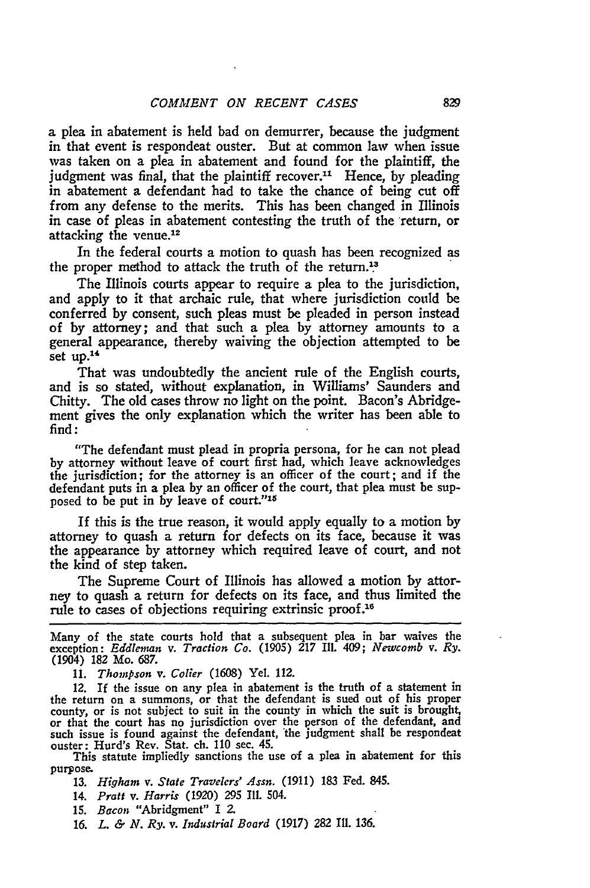a plea in abatement is held bad on demurrer, because the judgment in that event is respondeat ouster. But at common law when issue was taken on a plea in abatement and found for the plaintiff, the judgment was final, that the plaintiff recover.<sup>11</sup> Hence, by pleading in abatement a defendant had to take the chance of being cut off from any defense to the merits. This has been changed in Illinois in case of pleas in abatement contesting the truth of the return, or attacking the venue.<sup>12</sup>

In the federal courts a motion to quash has been recognized as the proper method to attack the truth of the return.<sup>13</sup>

The Illinois courts appear to require a plea to the jurisdiction, and apply to it that archaic rule, that where jurisdiction could be conferred **by** consent, such pleas must be pleaded in person instead of **by** attorney; and that such a plea **by** attorney amounts to a general appearance, thereby waiving the objection attempted to be set  $up.14$ 

That was undoubtedly the ancient rule of the English courts, and is so stated, without explanation, in Williams' Saunders and Chitty. The old cases throw no light on the point. Bacon's Abridgement gives the only explanation which the writer has been able to find:

"The defendant must plead in propria persona, for he can not plead **by** attorney without leave of court first had, which leave acknowledges the jurisdiction; for the attorney is an officer of the court; and if the defendant puts in a plea **by** an officer of the court, that plea must be supposed to be put in by leave of court."<sup>15</sup>

If this is the true reason, it would apply equally to a motion **by** attorney to quash a return for defects on its face, because it was the appearance **by** attorney which required leave of court, and not the kind of step taken.

The Supreme Court of Illinois has allowed a motion **by** attorney to quash a return for defects on its face, and thus limited the rule to cases of objections requiring extrinsic proof.<sup>16</sup>

Many of the state courts hold that a subsequent plea in bar waives the exception: *Eddlemnan v. Traction Co.* **(1905) 217 Ill.** 409; *Newcomb v. Ry.* (1904) **182** Mo. **687.**

**11.** *Thompson v. Colier* **(1608)** Yel. 112.

12. If the issue on any plea in abatement is the truth of a statement in the return on a summons, or that the defendant is sued out of his proper county, or is not subject to suit in the county in which the suit is brought, or that the court has no jurisdiction over the person of the defendant, and such issue is found against the defendant, the judgment shall be respondea<br>ouster: Hurd's Rev. Stat. ch. 110 sec. 45.

This statute impliedly sanctions the use of a plea in abatement for this purpose.

**13.** *Higham v. State Travelers' Assn.* (1911) **183** Fed. 845.

14. *Pratt v. Harris* (1920) **295** Ill. 504.

*15. Bacon* "Abridgment" I 2.

*16. L. & N. Ry. v. Industrial Board* (1917) **282 I1. 136.**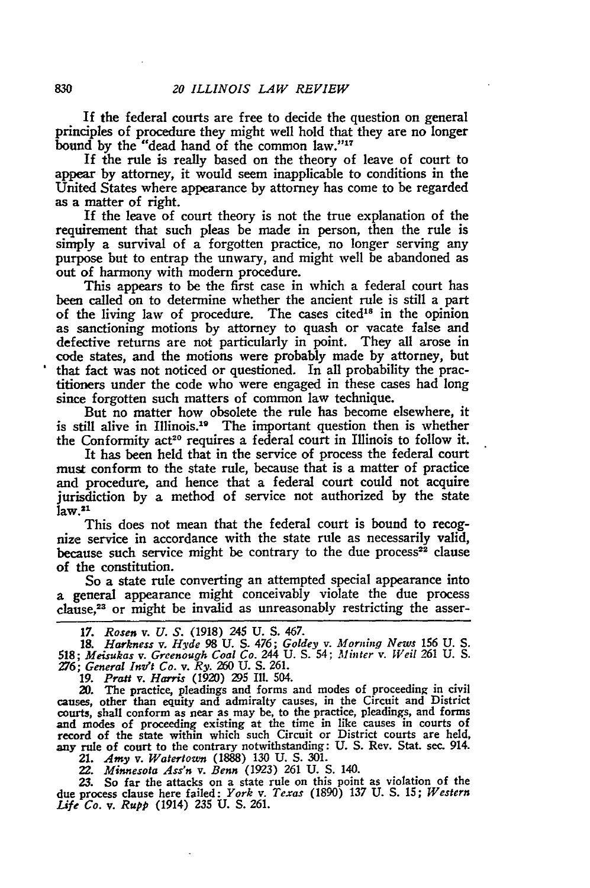If the federal courts are free to decide the question on general principles of procedure they might well hold that they are no longer bound by the "dead hand of the common law."17

If the rule is really based on the theory of leave of court to appear by attorney, it would seem inapplicable to conditions in the United States where appearance by attorney has come to be regarded as a matter of right.

If the leave of court theory is not the true explanation of the requirement that such pleas be made in person, then the rule is simply a survival of a forgotten practice, no longer serving any purpose but to entrap the unwary, and might well be abandoned as out of harmony with modern procedure.

This appears to be the first case in which a federal court has been called on to determine whether the ancient rule is still a part of the living law of procedure. The cases cited<sup>18</sup> in the opinion as sanctioning motions by attorney to quash or vacate false and defective returns are not particularly in point. They all arose in code states, and the motions were probably made by attorney, but that fact was not noticed or questioned. In all probability the practitioners under the code who were engaged in these cases had long since forgotten such matters of common law technique.

But no matter how obsolete the rule has become elsewhere, it is still alive in Illinois.19 The important question then is whether the Conformity act<sup>20</sup> requires a federal court in Illinois to follow it.

It has been held that in the service of process the federal court must conform to the state rule, because that is a matter of practice and procedure, and hence that a federal court could not acquire jurisdiction by a method of service not authorized by the state  $law.<sup>21</sup>$ 

This does not mean that the federal court is bound to recognize service in accordance with the state rule as necessarily valid, because such service might be contrary to the due process<sup>22</sup> clause of the constitution.

So a state rule converting an attempted special appearance into a general appearance might conceivably violate the due process clause,<sup>23</sup> or might be invalid as unreasonably restricting the asser-

18. Harkness v. Hyde 98 U. S. 476; Goldey v. Morning News 156 U. S<br>518; Meisukas v. Greenough Coal Co. 244 U. S. 54; Minter v. Weil 261 U. S *276; General Inv't Co.* v. *Ry. 260* **U.** S. **261.**

*19. Pratt v. Harris (1920)* **<sup>295</sup>**Ill. 504.

20. The practice, pleadings and forms and modes of proceeding in civil causes, other than equity and admiralty causes, in the Circuit and District courts, shall conform as near as may be, to the practice, pleadings, and forms and modes of proceeding existing at the time in like causes in courts of record of the state within which such Circuit or District courts are held, any rule of court to the contrary notwithstanding: **U.** S. Rev. Stat. sec. 914.

*21. Amy v. Watertown* **(1888)** 130 **U. S. 301.**

*22. Minnesota Ass'n v. Benn* (1923) 261 **U. S.** 140.

*23.* So far the attacks on a state rule on this point as violation of the due process clause here failed: *York v. Texas* (1890) **137 U. S. 15;** *Western Life Co. v. Rupp* (1914) *235* **U. S.** 261.

*<sup>17.</sup> Rosen v. U. S.* (1918) 245 U. S. 467.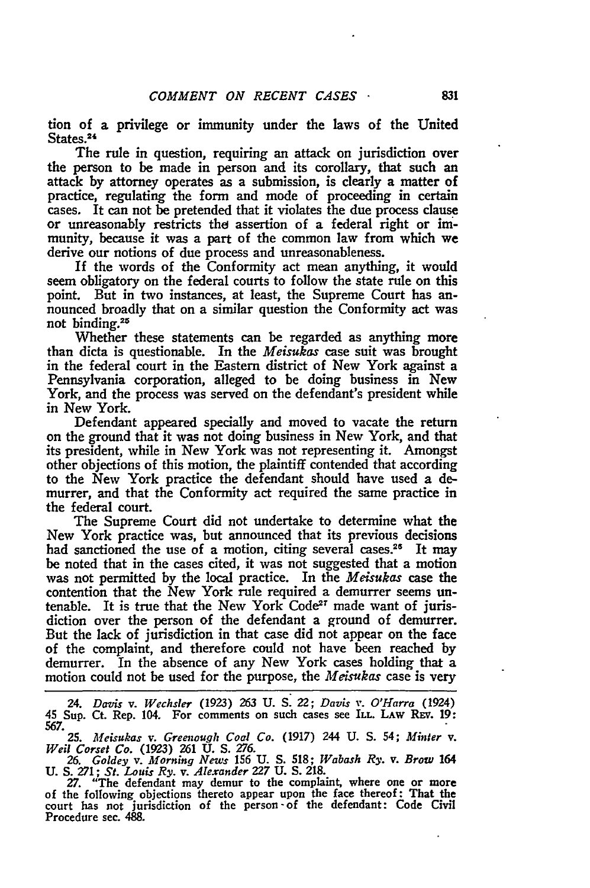tion of a privilege or immunity under the laws of the United States.<sup>24</sup>

The rule in question, requiring an attack on jurisdiction over the person to be made in person and its corollary, that such an attack **by** attorney operates as a submission, is clearly a matter of practice, regulating the form and mode of proceeding in certain cases. It can not be pretended that it violates the due process clause or unreasonably restricts **the** assertion of a federal right or immunity, because it was a part of the common law from which we derive our notions of due process and unreasonableness.

If the words of the Conformity act mean anything, it would seem obligatory on the federal courts to follow the state rule on this point. But in two instances, at least, the Supreme Court has announced broadly that on a similar question the Conformity act was not binding.<sup>25</sup>

Whether these statements can be regarded as anything more than dicta is questionable. In the *Meisukas* case suit was brought in the federal court in the Eastern district of New York against a Pennsylvania corporation, alleged to be doing business in New York, and the process was served on the defendant's president while in New York.

Defendant appeared specially and moved to vacate the return on the ground that it was not doing business in New York, and that its president, while in New York was not representing it. Amongst other objections of this motion, the plaintiff contended that according to the New York practice the defendant should have used a demurrer, and that the Conformity act required the same practice in the federal court.

The Supreme Court did not undertake to determine what the New York practice was, but announced that its previous decisions had sanctioned the use of a motion, citing several cases.<sup>26</sup> It may be noted that in the cases cited, it was not suggested that a motion was not permitted **by** the local practice. In the *Meisukas* case the contention that the New York rule required a demurrer seems untenable. It is true that the New York Code<sup>27</sup> made want of jurisdiction over the person of the defendant a ground of demurrer. But the lack of jurisdiction in that case did not appear on the face of the complaint, and therefore could not have been reached **by** demurrer. In the absence of any New York cases holding that a motion could not be used for the purpose, the *Meisukas* case is very

24. *Davis* v. *Wechsler* **(1923) 263** U. **S.** 22; *Davis v. O'Harra* (1924) 45 Sup. Ct. Rep. 104. For comments on such cases see ILL. **LAW REv. 19: 567.**

**25.** *Afeisakas v. Greenough Coal Co.* **(1917)** 244 **U. S.** 54; *Minter v. Weil Corset Co.* **(1923) 261 U. S.** *276.*

*26. Goldey v. Morning News* **156 U. S. 518;** *Wabash Ry. v. Brow 164* **U. S. 271;** *St. Louis Ry. v. Alexander* **227 U. S. 218.** *27.* "The defendant may demur to the complaint, where one or more

of the following objections thereto appear upon the face thereof: That the court has not jurisdiction of the person-of the defendant: Code Civil Procedure sec. **488.**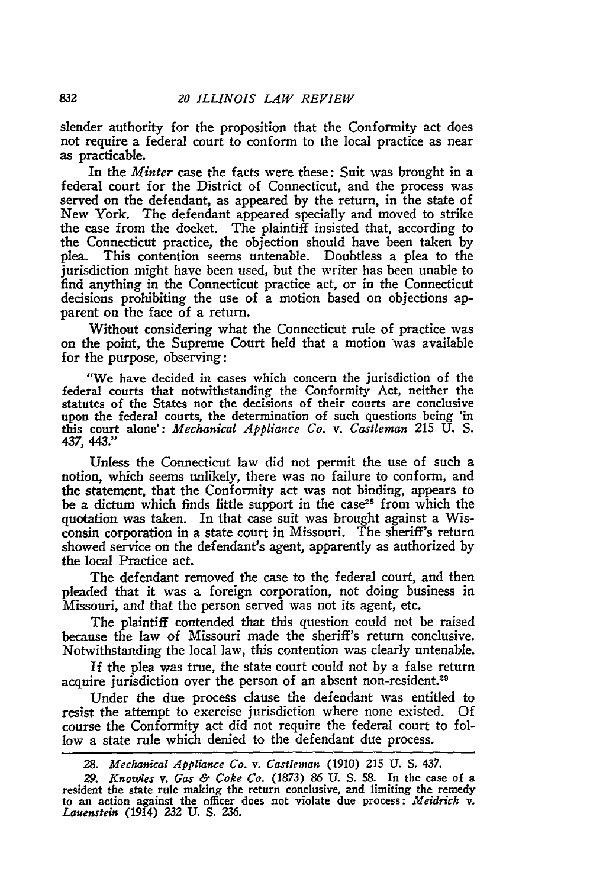slender authority for the proposition that the Conformity act does not require a federal court to conform to the local practice as near as practicable.

In the *Minter* case the facts were these: Suit was brought in a federal court for the District of Connecticut, and the process was served on the defendant, as appeared by the return, in the state of New York. The defendant appeared specially and moved to strike the case from the docket. The plaintiff insisted that, according to the Connecticut practice, the objection should have been taken by plea. This contention seems untenable. Doubtless a plea to the jurisdiction might have been used, but the writer has been unable to find anything in the Connecticut practice act, or in the Connecticut decisions prohibiting the use of a motion based on objections apparent on the face of a return.

Without considering what the Connecticut rule of practice was on the point, the Supreme Court held that a motion was available for the purpose, observing:

"We have decided in cases which concern the jurisdiction of the federal courts that notwithstanding the Conformity Act, neither the statutes of the States nor the decisions of their courts are conclusive upon the federal courts, the determination of such questions being 'in this court alone': *Mechanical Appliance Co. v. Castleman* 215 **U. S.** 437, 443."

Unless the Connecticut law did not permit the use of such a notion, which seems unlikely, there was no failure to conform, and the statement, that the Conformity act was not binding, appears to be a dictum which finds little support in the case<sup>28</sup> from which the quotation was taken. In that case suit was brought against a Wisconsin corporation in a state court in Missouri. The sheriff's return showed service on the defendant's agent, apparently as authorized by the local Practice act.

The defendant removed the case to the federal court, and then pleaded that it was a foreign corporation, not doing business in Missouri, and that the person served was not its agent, etc.

The plaintiff contended that this question could not be raised because the law of Missouri made the sheriff's return conclusive. Notwithstanding the local law, this contention was clearly untenable.

If the plea was true, the state court could not by a false return acquire jurisdiction over the person of an absent non-resident.<sup>29</sup>

Under the due process clause the defendant was entitled to resist the attempt to exercise jurisdiction where none existed. Of course the Conformity act did not require the federal court to follow a state rule which denied to the defendant due process.

*<sup>28.</sup> Mechanical Appliance Co. v. Castleman* (1910) 215 U. S. 437.

*<sup>29.</sup> Knowles v. Gas & Coke Co.* (1873) 86 **U. S.** 58. In the case of a resident the state rule making the return conclusive, and limiting the remedy to an action against the officer does not violate due process: *Meidrich v. Lauenstein* (1914) *232 U.* S. 236.